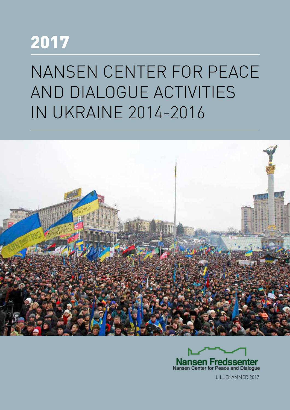## 2017

# NANSEN CENTER FOR PEACE AND DIALOGUE ACTIVITIES IN UKRAINE 2014-2016





LILLEHAMMER 2017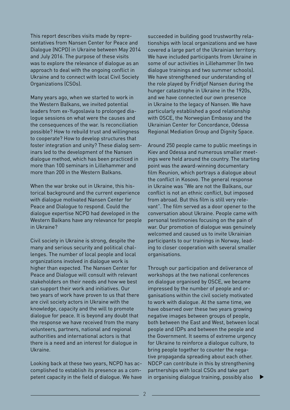This report describes visits made by representatives from Nansen Center for Peace and Dialogue (NCPD) in Ukraine between May 2014 and July 2016. The purpose of these visits was to explore the relevance of dialogue as an approach to deal with the ongoing conflict in Ukraine and to connect with local Civil Society Organizations (CSOs).

Many years ago, when we started to work in the Western Balkans, we invited potential leaders from ex-Yugoslavia to prolonged dialogue sessions on what were the causes and the consequences of the war. Is reconciliation possible? How to rebuild trust and willingness to cooperate? How to develop structures that foster integration and unity? These dialog seminars led to the development of the Nansen dialogue method, which has been practiced in more than 100 seminars in Lillehammer and more than 200 in the Western Balkans.

When the war broke out in Ukraine, this historical background and the current experience with dialogue motivated Nansen Center for Peace and Dialogue to respond. Could the dialogue expertise NCPD had developed in the Western Balkans have any relevance for people in Ukraine?

Civil society in Ukraine is strong, despite the many and serious security and political challenges. The number of local people and local organizations involved in dialogue work is higher than expected. The Nansen Center for Peace and Dialogue will consult with relevant stakeholders on their needs and how we best can support their work and initiatives. Our two years of work have proven to us that there are civil society actors in Ukraine with the knowledge, capacity and the will to promote dialogue for peace. It is beyond any doubt that the response we have received from the many volunteers, partners, national and regional authorities and international actors is that there is a need and an interest for dialogue in Ukraine.

Looking back at these two years, NCPD has accomplished to establish its presence as a competent capacity in the field of dialogue. We have succeeded in building good trustworthy relationships with local organizations and we have covered a large part of the Ukrainian territory. We have included participants from Ukraine in some of our activities in Lillehammer (In two dialogue trainings and two summer schools). We have strengthened our understanding of the role played by Fridtjof Nansen during the hunger catastrophe in Ukraine in the 1920s, and we have connected our own presence in Ukraine to the legacy of Nansen. We have particularly established a good relationship with OSCE, the Norwegian Embassy and the Ukrainian Center for Concordance, Odessa Regional Mediation Group and Dignity Space.

Around 250 people came to public meetings in Kiev and Odessa and numerous smaller meetings were held around the country. The starting point was the award-winning documentary film Reunion, which portrays a dialogue about the conflict in Kosovo. The general response in Ukraine was "We are not the Balkans, our conflict is not an ethnic conflict, but imposed from abroad. But this film is still very relevant". The film served as a door opener to the conversation about Ukraine. People came with personal testimonies focusing on the pain of war. Our promotion of dialogue was genuinely welcomed and caused us to invite Ukrainian participants to our trainings in Norway, leading to closer cooperation with several smaller organisations.

Through our participation and deliverance of workshops at the two national conferences on dialogue organised by OSCE, we became impressed by the number of people and organisations within the civil society motivated to work with dialogue. At the same time, we have observed over these two years growing negative images between groups of people, both between the East and West, between local people and IDPs and between the people and the Government. It seems of extreme urgency for Ukraine to reinforce a dialogue culture, to bring people together to counter the negative propaganda spreading about each other. NDCP can contribute in this by strengthening partnerships with local CSOs and take part in organising dialogue training, possibly also ▲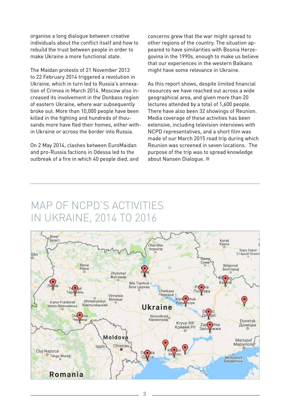organise a long dialogue between creative individuals about the conflict itself and how to rebuild the trust between people in order to make Ukraine a more functional state.

The Maidan protests of 21 November 2013 to 22 February 2014 triggered a revolution in Ukraine, which in turn led to Russia's annexation of Crimea in March 2014. Moscow also increased its involvement in the Donbass region of eastern Ukraine, where war subsequently broke out. More than 10,000 people have been killed in the fighting and hundreds of thousands more have fled their homes, either within Ukraine or across the border into Russia.

On 2 May 2014, clashes between EuroMaidan and pro-Russia factions in Odessa led to the outbreak of a fire in which 40 people died, and concerns grew that the war might spread to other regions of the country. The situation appeared to have similarities with Bosnia Herzegovina in the 1990s, enough to make us believe that our experiences in the western Balkans might have some relevance in Ukraine.

As this report shows, despite limited financial resources we have reached out across a wide geographical area, and given more than 20 lectures attended by a total of 1,600 people. There have also been 32 showings of Reunion. Media coverage of these activities has been extensive, including television interviews with NCPD representatives, and a short film was made of our March 2015 road trip during which Reunion was screened in seven locations. The purpose of the trip was to spread knowledge about Nansen Dialogue. ■

### MAP OF NCPD'S ACTIVITIES IN UKRAINE, 2014 TO 2016

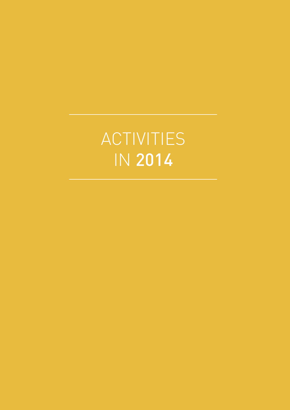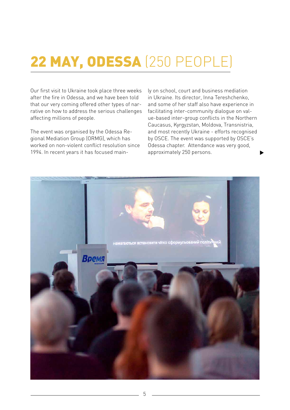### 22 MAY, ODESSA (250 PEOPLE)

Our first visit to Ukraine took place three weeks after the fire in Odessa, and we have been told that our very coming offered other types of narrative on how to address the serious challenges affecting millions of people.

The event was organised by the Odessa Regional Mediation Group (ORMG), which has worked on non-violent conflict resolution since 1994. In recent years it has focused main-

ly on school, court and business mediation in Ukraine. Its director, Inna Tereshchenko, and some of her staff also have experience in facilitating inter-community dialogue on value-based inter-group conflicts in the Northern Caucasus, Kyrgyzstan, Moldova, Transnistria, and most recently Ukraine - efforts recognised by OSCE. The event was supported by OSCE's Odessa chapter. Attendance was very good, approximately 250 persons.

▲

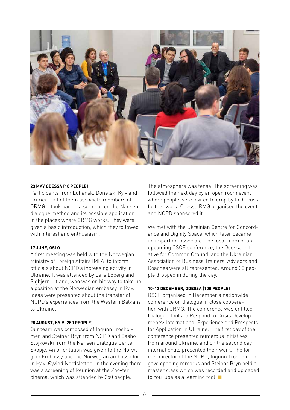

#### **23 MAY ODESSA (10 PEOPLE)**

Participants from Luhansk, Donetsk, Kyiv and Crimea - all of them associate members of ORMG – took part in a seminar on the Nansen dialogue method and its possible application in the places where ORMG works. They were given a basic introduction, which they followed with interest and enthusiasm.

#### **17 JUNE, OSLO**

A first meeting was held with the Norwegian Ministry of Foreign Affairs (MFA) to inform officials about NCPD's increasing activity in Ukraine. It was attended by Lars Løberg and Sigbjørn Litland, who was on his way to take up a position at the Norwegian embassy in Kyiv. Ideas were presented about the transfer of NCPD's experiences from the Western Balkans to Ukraine.

#### **28 AUGUST, KYIV (250 PEOPLE)**

Our team was composed of Ingunn Trosholmen and Steinar Bryn from NCPD and Sasho Stojkovski from the Nansen Dialogue Center Skopje. An orientation was given to the Norwegian Embassy and the Norwegian ambassador in Kyiv, Øyvind Nordsletten. In the evening there was a screening of Reunion at the Zhovten cinema, which was attended by 250 people.

The atmosphere was tense. The screening was followed the next day by an open room event, where people were invited to drop by to discuss further work. Odessa RMG organised the event and NCPD sponsored it.

We met with the Ukrainian Centre for Concordance and Dignity Space, which later became an important associate. The local team of an upcoming OSCE conference, the Odessa Initiative for Common Ground, and the Ukrainian Association of Business Trainers, Advisors and Coaches were all represented. Around 30 people dropped in during the day.

#### **10-12 DECEMBER, ODESSA (100 PEOPLE)**

OSCE organised in December a nationwide conference on dialogue in close cooperation with ORMG. The conference was entitled Dialogue Tools to Respond to Crisis Developments: International Experience and Prospects for Application in Ukraine. The first day of the conference presented numerous initiatives from around Ukraine, and on the second day internationals presented their work. The former director of the NCPD, Ingunn Trosholmen, gave opening remarks and Steinar Bryn held a master class which was recorded and uploaded to YouTube as a learning tool. ■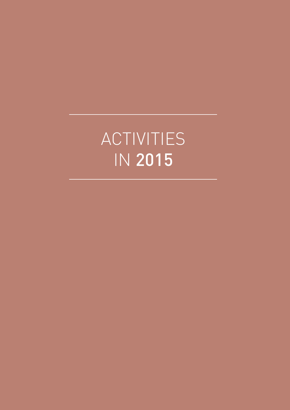# ACTIVITIES IN 2015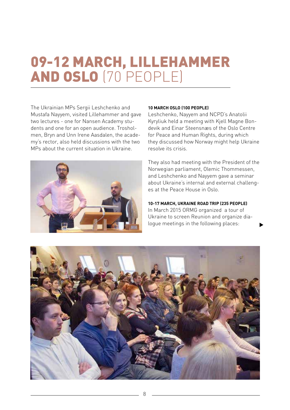### 09-12 MARCH, LILLEHAMMER AND OSLO (70 PEOPLE)

The Ukrainian MPs Sergii Leshchenko and Mustafa Nayyem, visited Lillehammer and gave two lectures - one for Nansen Academy students and one for an open audience. Trosholmen, Bryn and Unn Irene Aasdalen, the academy's rector, also held discussions with the two MPs about the current situation in Ukraine.



#### **10 MARCH OSLO (100 PEOPLE)**

Leshchenko, Nayyem and NCPD's Anatolii Kyryliuk held a meeting with Kjell Magne Bondevik and Einar Steensnæs of the Oslo Centre for Peace and Human Rights, during which they discussed how Norway might help Ukraine resolve its crisis.

They also had meeting with the President of the Norwegian parliament, Olemic Thommessen, and Leshchenko and Nayyem gave a seminar about Ukraine's internal and external challenges at the Peace House in Oslo.

**10-17 MARCH, UKRAINE ROAD TRIP (235 PEOPLE)** 

In March 2015 ORMG organized a tour of Ukraine to screen Reunion and organize dialogue meetings in the following places:

▲

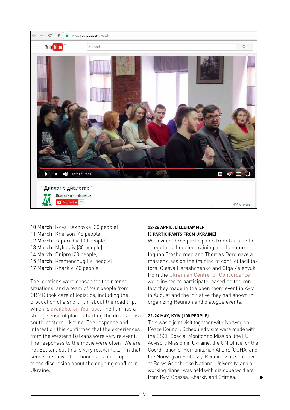

10 March: Nova Kakhovka (30 people) 11 March: Kherson (45 people) 12 March: Zaporizhia (30 people) 13 March: Mykolaiv (30 people) 14 March: Dnipro (20 people) 15 March: Kremenchug (30 people) 17 March: Kharkiv (60 people)

The locations were chosen for their tense situations, and a team of four people from ORMG took care of logistics, including the production of a short film about the road trip, which is available on YouTube. The film has a strong sense of place, charting the drive across south-eastern Ukraine. The response and interest on this confirmed that the experiences from the Western Balkans were very relevant. The responses to the movie were often "We are not Balkan, but this is very relevant……." In that sense the movie functioned as a door opener to the discussion about the ongoing conflict in Ukraine.

#### **22-26 APRIL, LILLEHAMMER (3 PARTICIPANTS FROM UKRAINE)**

We invited three participants from Ukraine to a regular scheduled training in Lillehammer. Ingunn Trosholmen and Thomas Dorg gave a master class on the training of conflict facilitators. Olesya Herashchenko and Olga Zelenyuk from the Ukrainian Centre for Concordance were invited to participate, based on the contact they made in the open room event in Kyiv in August and the initiative they had shown in organizing Reunion and dialogue events.

#### **22-24 MAY, KYIV (100 PEOPLE)**

This was a joint visit together with Norwegian Peace Council. Scheduled visits were made with the OSCE Special Monitoring Mission, the EU Advisory Mission in Ukraine, the UN Office for the Coordination of Humanitarian Affairs (OCHA) and the Norwegian Embassy. Reunion was screened at Borys Grinchenko National University, and a working dinner was held with dialogue workers from Kyiv, Odessa, Kharkiv and Crimea. ▲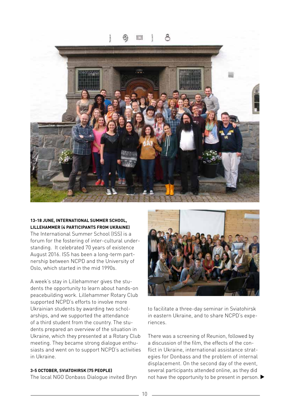838



#### **13-18 JUNE, INTERNATIONAL SUMMER SCHOOL, LILLEHAMMER (4 PARTICIPANTS FROM UKRAINE)**

The International Summer School (ISS) is a forum for the fostering of inter-cultural understanding. It celebrated 70 years of existence August 2016. ISS has been a long-term partnership between NCPD and the University of Oslo, which started in the mid 1990s.

A week's stay in Lillehammer gives the students the opportunity to learn about hands-on peacebuilding work. Lillehammer Rotary Club supported NCPD's efforts to involve more Ukrainian students by awarding two scholarships, and we supported the attendance of a third student from the country. The students prepared an overview of the situation in Ukraine, which they presented at a Rotary Club meeting. They became strong dialogue enthusiasts and went on to support NCPD's activities in Ukraine.

#### **3-5 OCTOBER, SVIATOHIRSK (75 PEOPLE)**

The local NGO Donbass Dialogue invited Bryn



to facilitate a three-day seminar in Sviatohirsk in eastern Ukraine, and to share NCPD's experiences.

There was a screening of Reunion, followed by a discussion of the film, the effects of the conflict in Ukraine, international assistance strategies for Donbass and the problem of internal displacement. On the second day of the event, several participants attended online, as they did not have the opportunity to be present in person.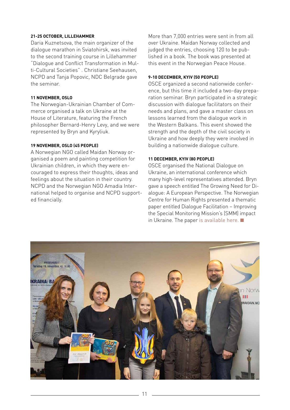#### **21-25 OCTOBER, LILLEHAMMER**

Daria Kuznetsova, the main organizer of the dialogue marathon in Sviatohirsk, was invited to the second training course in Lillehammer "Dialogue and Conflict Transformation in Multi-Cultural Societies" . Christiane Seehausen, NCPD and Tanja Popovic, NDC Belgrade gave the seminar.

#### **11 NOVEMBER, OSLO**

The Norwegian-Ukrainian Chamber of Commerce organised a talk on Ukraine at the House of Literature, featuring the French philosopher Bernard-Henry Levy, and we were represented by Bryn and Kyryliuk.

#### **19 NOVEMBER, OSLO (45 PEOPLE)**

A Norwegian NGO called Maidan Norway organised a poem and painting competition for Ukrainian children, in which they were encouraged to express their thoughts, ideas and feelings about the situation in their country. NCPD and the Norwegian NGO Amadia International helped to organise and NCPD supported financially.

More than 7,000 entries were sent in from all over Ukraine. Maidan Norway collected and judged the entries, choosing 120 to be published in a book. The book was presented at this event in the Norwegian Peace House.

#### **9-10 DECEMBER, KYIV (50 PEOPLE)**

OSCE organized a second nationwide conference, but this time it included a two-day preparation seminar. Bryn participated in a strategic discussion with dialogue facilitators on their needs and plans, and gave a master class on lessons learned from the dialogue work in the Western Balkans. This event showed the strength and the depth of the civil society in Ukraine and how deeply they were involved in building a nationwide dialogue culture.

#### **11 DECEMBER, KYIV (80 PEOPLE)**

OSCE organised the National Dialogue on Ukraine, an international conference which many high-level representatives attended. Bryn gave a speech entitled The Growing Need for Dialogue: A European Perspective. The Norwegian Centre for Human Rights presented a thematic paper entitled Dialogue Facilitation – Improving the Special Monitoring Mission's (SMM) impact in Ukraine. The paper [is available here.](http://www.jus.uio.no/smr/english/about/programmes/nordem/publications/nordemthematicpaper_oscesmm_dialogue-facilitation.pdf) ■

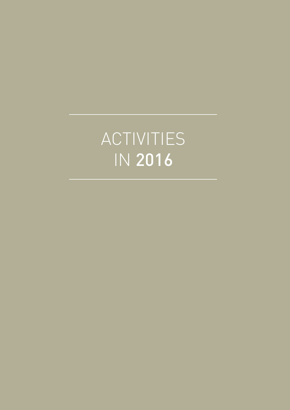# ACTIVITIES IN 2016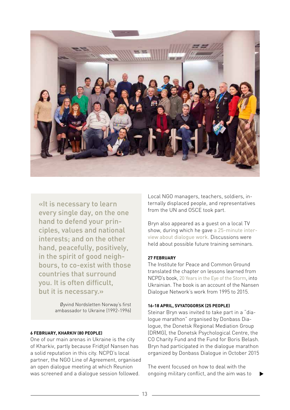

«It is necessary to learn every single day, on the one hand to defend your principles, values and national interests; and on the other hand, peacefully, positively, in the spirit of good neighbours, to co-exist with those countries that surround you. It is often difficult, but it is necessary.»

> Øyvind Nordsletten Norway's first ambassador to Ukraine (1992-1996)

#### **6 FEBRUARY, KHARKIV (80 PEOPLE)**

One of our main arenas in Ukraine is the city of Kharkiv, partly because Fridtjof Nansen has a solid reputation in this city. NCPD's local partner, the NGO Line of Agreement, organised an open dialogue meeting at which Reunion was screened and a dialogue session followed.

Local NGO managers, teachers, soldiers, internally displaced people, and representatives from the UN and OSCE took part.

Bryn also appeared as a guest on a local TV show, during which he gave a 25-minute interview about dialogue work. Discussions were held about possible future training seminars.

#### **27 FEBRUARY**

The Institute for Peace and Common Ground translated the chapter on lessons learned from NCPD's book, 20 Years in the Eye of the Storm, into Ukrainian. The book is an account of the Nansen Dialogue Network's work from 1995 to 2015.

#### **16-18 APRIL, SVYATOGORSK (25 PEOPLE)**

Steinar Bryn was invited to take part in a "dialogue marathon" organised by Donbass Dialogue, the Donetsk Regional Mediation Group (DRMG), the Donetsk Psychological Centre, the CO Charity Fund and the Fund for Boris Belash. Bryn had participated in the dialogue marathon organized by Donbass Dialogue in October 2015

The event focused on how to deal with the ongoing military conflict, and the aim was to

▲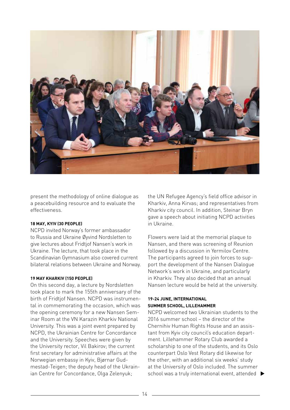

present the methodology of online dialogue as a peacebuilding resource and to evaluate the effectiveness.

#### **18 MAY, KYIV (30 PEOPLE)**

NCPD invited Norway's former ambassador to Russia and Ukraine Øyvind Nordsletten to give lectures about Fridtjof Nansen's work in Ukraine. The lecture, that took place in the Scandinavian Gymnasium also covered current bilateral relations between Ukraine and Norway.

#### **19 MAY KHARKIV (150 PEOPLE)**

On this second day, a lecture by Nordsletten took place to mark the 155th anniversary of the birth of Fridtjof Nansen. NCPD was instrumental in commemorating the occasion, which was the opening ceremony for a new Nansen Seminar Room at the VN Karazin Kharkiv National University. This was a joint event prepared by NCPD, the Ukrainian Centre for Concordance and the University. Speeches were given by the University rector, Vil Bakirov; the current first secretary for administrative affairs at the Norwegian embassy in Kyiv, Bjørnar Gudmestad-Teigen; the deputy head of the Ukrainian Centre for Concordance, Olga Zelenyuk;

the UN Refugee Agency's field office advisor in Kharkiv, Anna Kirvas; and representatives from Kharkiv city council. In addition, Steinar Bryn gave a speech about initiating NCPD activities in Ukraine.

Flowers were laid at the memorial plaque to Nansen, and there was screening of Reunion followed by a discussion in Yermilov Centre. The participants agreed to join forces to support the development of the Nansen Dialogue Network's work in Ukraine, and particularly in Kharkiv. They also decided that an annual Nansen lecture would be held at the university.

#### **19-24 JUNE, INTERNATIONAL SUMMER SCHOOL, LILLEHAMMER**

NCPD welcomed two Ukrainian students to the 2016 summer school – the director of the Chernihiv Human Rights House and an assistant from Kyiv city council's education department. Lillehammer Rotary Club awarded a scholarship to one of the students, and its Oslo counterpart Oslo Vest Rotary did likewise for the other, with an additional six weeks' study at the University of Oslo included. The summer school was a truly international event, attended  $\blacktriangleright$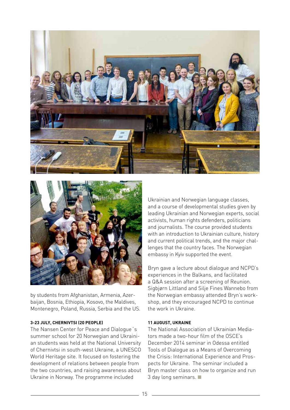



by students from Afghanistan, Armenia, Azerbaijan, Bosnia, Ethiopia, Kosovo, the Maldives, Montenegro, Poland, Russia, Serbia and the US.

#### **3-23 JULY, CHERNIVTSI (20 PEOPLE)**

The Nansen Center for Peace and Dialogue´s summer school for 20 Norwegian and Ukrainian students was held at the National University of Chernivtsi in south-west Ukraine, a UNESCO World Heritage site. It focused on fostering the development of relations between people from the two countries, and raising awareness about Ukraine in Norway. The programme included

Ukrainian and Norwegian language classes, and a course of developmental studies given by leading Ukrainian and Norwegian experts, social activists, human rights defenders, politicians and journalists. The course provided students with an introduction to Ukrainian culture, history and current political trends, and the major challenges that the country faces. The Norwegian embassy in Kyiv supported the event.

Bryn gave a lecture about dialogue and NCPD's experiences in the Balkans, and facilitated a Q&A session after a screening of Reunion. Sigbjørn Littland and Silje Fines Wannebo from the Norwegian embassy attended Bryn's workshop, and they encouraged NCPD to continue the work in Ukraine.

#### **11 AUGUST, UKRAINE**

The National Association of Ukrainian Mediators made a two-hour film of the OSCE's December 2014 seminar in Odessa entitled Tools of Dialogue as a Means of Overcoming the Crisis: International Experience and Prospects for Ukraine. The seminar included a Bryn master class on how to organize and run 3 day long seminars. ■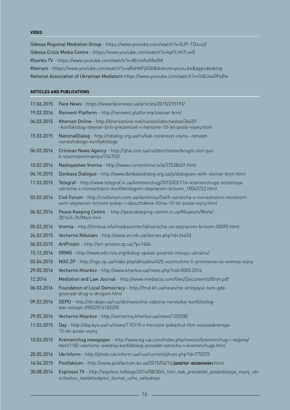#### **VIDEO**

Odessa Regional Mediation Group - https://www.youtube.com/watch?v=GJP-TDzuiyE Odessa Crisis Media Centre - https://www.youtube.com/watch?v=kpFLhh7LwIE Kharkiv TV - https://www.youtube.com/watch?v=dEnsVkzMw5M Kherson - https://www.youtube.com/watch?v=aRoHKPjA3lI&feature=youtu.be&app=desktop National Association of Ukrainian Mediators https://www.youtube.com/watch?v=Gd0JexDFeBw

#### **ARTICLES AND PUBLICATIONS**

| 11.06.2015 | Face News - https://www.facenews.ua/articles/2015/275193/                                                                                                             |
|------------|-----------------------------------------------------------------------------------------------------------------------------------------------------------------------|
| 19.02.2016 | Reinvent Platform - http://reinvent.platfor.ma/steinar-brin/                                                                                                          |
| 06.03.2015 | Kherson Online - http://khersonline.net/novosti/obschestvo/36459<br>-konfliktolog-steynar-brin-prezentuet-v-hersone-10-let-posle-voyny.html                           |
| 15.03.2015 | NationalDialog - http://ndialog.org.ua/ru/kak-ostanovyt-voynu--retsept-<br>norvezhskogo-konflyktologa                                                                 |
| 06.02.2016 | Crimean News Agency - http://qha.com.ua/ru/obschestvo/kruglii-stol-put-<br>k-vzaimoponimaniyu/154702/                                                                 |
| 10.02.2016 | Nastoyashee Vremia - http://www.currenttime.tv/a/27538637.html                                                                                                        |
| 06.10.2015 | Donbass Dialogue - http://www.donbassdialog.org.ua/p/dialogues-with-steinar-bryn.html                                                                                 |
| 11.03.2015 | Telegraf - http://www.telegraf.in.ua/kremenchug/2015/03/11/v-kremenchuge-sostoitsya-<br>vstrecha-s-norvezhskim-konfliktologom-steynarom-brinom_10043722.html          |
| 03.02.2016 | Civil Forum - http://civilforum.com.ua/dontmiss/5469-vstretcha-s-norvezhskim-mirotvort-<br>sem-stejnarom-brinom-pokaz-i-obsuzhdenie-filma-10-let-posle-vojny.html     |
| 06.02.2016 | Peace Keeping Centre - http://peacekeeping-centre.in.ua/Museum/Work/<br>2016/6-2h/Main.htm                                                                            |
| 05.02.2016 | Vremia - http://timeua.info/mediacenter/id/vstrecha-so-stejnarom-brinom-00090.html                                                                                    |
| 24.02.2015 | Vechernii Nikolaev - http://www.vn.mk.ua/stories.php?id=24453                                                                                                         |
| 06.03.2015 | ArtProstir - http://art-prostor.zp.ua/?p=1404                                                                                                                         |
| 15.12.2014 | ORMG - http://www.odcrisis.org/dialog-spaset-postroit-novuyu-ukrainu/                                                                                                 |
| 03.04.2015 | NGO.ZP - http://ngo.zp.ua/index.php/aktualno/425-vozmozhno-li-primirenie-vo-vremya-vojny                                                                              |
| 29.05.2016 | Vechernii Kharkov - http://www.kharkov.ua/news.php?nid=5005.2016                                                                                                      |
| 12.2014    | Mediation and Law Journal - http://www.mediacia.com/files/Documents/Bryn.pdf                                                                                          |
| 06.03.2016 | Foundation of Local Democracy - http://fmd.kh.ua/news/ne-strelyayut-tam-gde-<br>govoryat-drug-s-drugom.html                                                           |
| 09.02.2016 | DEPO - http://dn.depo.ua/rus/dn/vsesvitno-vidomiy-norvezkiy-konfliktolog-<br>dav-retsept-09022016105200                                                               |
| 29.05.2016 | Vechernii Kharkov - http://vecherniy.kharkov.ua/news/120208/                                                                                                          |
| 11.03.2015 | Day - http://day.kyiv.ua/ru/news/110315-v-hersone-pokazhut-film-vossoedineniya-<br>10-let-posle-voyny                                                                 |
| 10.03.2015 | Kremenchug newspaper - http://www.kq-ua.com/index.php/novosti/kremenchug-i-regiony/<br>item/1182-vsemirno-izvestnyj-konfliktolog-provedet-vstrechu-v-kremenchuge.html |
| 20.05.2016 | Ukrinform - http://photo.ukrinform.ua/rus/current/photo.php?id=770375                                                                                                 |
| 16.04.2015 | Postfaktum - http://www.postfactum.ks.ua/2015/04/16/диалог-возможен.html                                                                                              |
| 30.08.2014 | Espresso TV - http://espreso.tv/blogs/2014/08/30/o_tom_kak_preodolet_posledstvyya_voyny_ob-<br>schestvu_neobkhodymo_dumat_uzhe_sehodnya                               |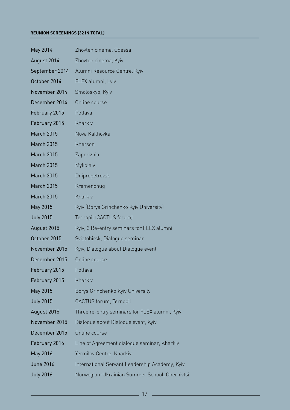#### **REUNION SCREENINGS (32 IN TOTAL)**

| May 2014          | Zhovten cinema, Odessa                         |
|-------------------|------------------------------------------------|
| August 2014       | Zhovten cinema, Kyiv                           |
| September 2014    | Alumni Resource Centre, Kyiv                   |
| October 2014      | FLEX alumni, Lviv                              |
| November 2014     | Smoloskyp, Kyiv                                |
| December 2014     | Online course                                  |
| February 2015     | Poltava                                        |
| February 2015     | Kharkiv                                        |
| March 2015        | Nova Kakhovka                                  |
| <b>March 2015</b> | Kherson                                        |
| <b>March 2015</b> | Zaporizhia                                     |
| March 2015        | Mykolaiv                                       |
| March 2015        | Dnipropetrovsk                                 |
| <b>March 2015</b> | Kremenchug                                     |
| March 2015        | Kharkiv                                        |
| May 2015          | Kyiv (Borys Grinchenko Kyiv University)        |
| <b>July 2015</b>  | Ternopil (CACTUS forum)                        |
| August 2015       | Kyiv, 3 Re-entry seminars for FLEX alumni      |
| October 2015      | Sviatohirsk, Dialogue seminar                  |
| November 2015     | Kyiv, Dialogue about Dialogue event            |
| December 2015     | Online course                                  |
| February 2015     | Poltava                                        |
| February 2015     | Kharkiv                                        |
| May 2015          | Borys Grinchenko Kyiv University               |
| <b>July 2015</b>  | CACTUS forum, Ternopil                         |
| August 2015       | Three re-entry seminars for FLEX alumni, Kyiv  |
| November 2015     | Dialoque about Dialoque event, Kyiv            |
| December 2015     | Online course                                  |
| February 2016     | Line of Agreement dialogue seminar, Kharkiv    |
| May 2016          | Yermilov Centre, Kharkiv                       |
| June 2016         | International Servant Leadership Academy, Kyiv |
| <b>July 2016</b>  | Norwegian-Ukrainian Summer School, Chernivtsi  |